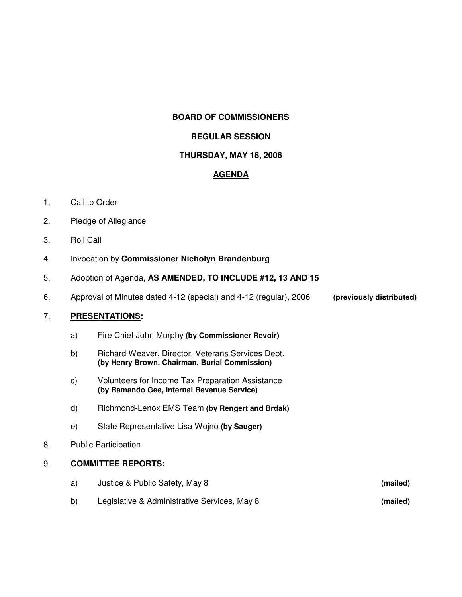#### **BOARD OF COMMISSIONERS**

## **REGULAR SESSION**

# **THURSDAY, MAY 18, 2006**

## **AGENDA**

- 1. Call to Order
- 2. Pledge of Allegiance
- 3. Roll Call
- 4. Invocation by **Commissioner Nicholyn Brandenburg**
- 5. Adoption of Agenda, **AS AMENDED, TO INCLUDE #12, 13 AND 15**
- 6. Approval of Minutes dated 4-12 (special) and 4-12 (regular), 2006 **(previously distributed)**

## 7. **PRESENTATIONS:**

- a) Fire Chief John Murphy **(by Commissioner Revoir)**
- b) Richard Weaver, Director, Veterans Services Dept. **(by Henry Brown, Chairman, Burial Commission)**
- c) Volunteers for Income Tax Preparation Assistance **(by Ramando Gee, Internal Revenue Service)**
- d) Richmond-Lenox EMS Team **(by Rengert and Brdak)**
- e) State Representative Lisa Wojno **(by Sauger)**
- 8. Public Participation

## 9. **COMMITTEE REPORTS:**

- a) Justice & Public Safety, May 8 **(mailed)**
- b) Legislative & Administrative Services, May 8 **(mailed)**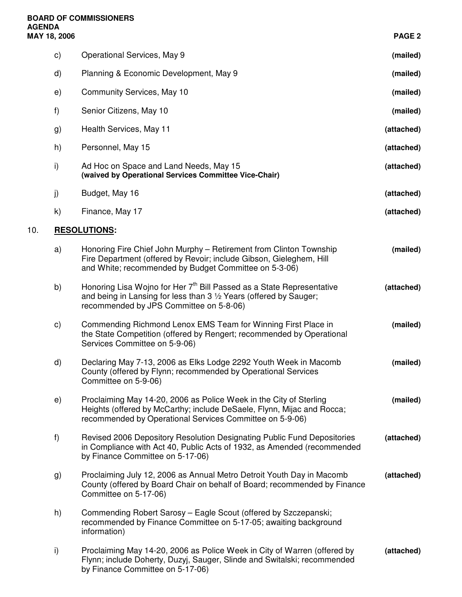**10.** 

| PAGE <sub>2</sub> |                                                                                                                                                                                                          | MAY 18, 2006  |     |
|-------------------|----------------------------------------------------------------------------------------------------------------------------------------------------------------------------------------------------------|---------------|-----|
| (mailed)          | Operational Services, May 9                                                                                                                                                                              | $\mathsf{c})$ |     |
| (mailed)          | Planning & Economic Development, May 9                                                                                                                                                                   | $\mathsf{d}$  |     |
| (mailed)          | Community Services, May 10                                                                                                                                                                               | e)            |     |
| (mailed)          | Senior Citizens, May 10                                                                                                                                                                                  | f)            |     |
| (attached)        | Health Services, May 11                                                                                                                                                                                  | g)            |     |
| (attached)        | Personnel, May 15                                                                                                                                                                                        | h)            |     |
| (attached)        | Ad Hoc on Space and Land Needs, May 15<br>(waived by Operational Services Committee Vice-Chair)                                                                                                          | i)            |     |
| (attached)        | Budget, May 16                                                                                                                                                                                           | j)            |     |
| (attached)        | Finance, May 17                                                                                                                                                                                          | k)            |     |
|                   | <b>RESOLUTIONS:</b>                                                                                                                                                                                      |               | 10. |
| (mailed)          | Honoring Fire Chief John Murphy - Retirement from Clinton Township<br>Fire Department (offered by Revoir; include Gibson, Gieleghem, Hill<br>and White; recommended by Budget Committee on 5-3-06)       | a)            |     |
| (attached)        | Honoring Lisa Wojno for Her 7 <sup>th</sup> Bill Passed as a State Representative<br>and being in Lansing for less than 3 1/2 Years (offered by Sauger;<br>recommended by JPS Committee on 5-8-06)       | b)            |     |
| (mailed)          | Commending Richmond Lenox EMS Team for Winning First Place in<br>the State Competition (offered by Rengert; recommended by Operational<br>Services Committee on 5-9-06)                                  | $\mathsf{c})$ |     |
| (mailed)          | Declaring May 7-13, 2006 as Elks Lodge 2292 Youth Week in Macomb<br>County (offered by Flynn; recommended by Operational Services<br>Committee on 5-9-06)                                                | $\mathsf{d}$  |     |
| (mailed)          | Proclaiming May 14-20, 2006 as Police Week in the City of Sterling<br>Heights (offered by McCarthy; include DeSaele, Flynn, Mijac and Rocca;<br>recommended by Operational Services Committee on 5-9-06) | e)            |     |
| (attached)        | Revised 2006 Depository Resolution Designating Public Fund Depositories<br>in Compliance with Act 40, Public Acts of 1932, as Amended (recommended<br>by Finance Committee on 5-17-06)                   | f)            |     |
| (attached)        | Proclaiming July 12, 2006 as Annual Metro Detroit Youth Day in Macomb<br>County (offered by Board Chair on behalf of Board; recommended by Finance<br>Committee on 5-17-06)                              | g)            |     |
|                   | Commending Robert Sarosy - Eagle Scout (offered by Szczepanski;<br>recommended by Finance Committee on 5-17-05; awaiting background<br>information)                                                      | h)            |     |
| (attached)        | Proclaiming May 14-20, 2006 as Police Week in City of Warren (offered by<br>Flynn; include Doherty, Duzyj, Sauger, Slinde and Switalski; recommended<br>by Finance Committee on 5-17-06)                 | i)            |     |